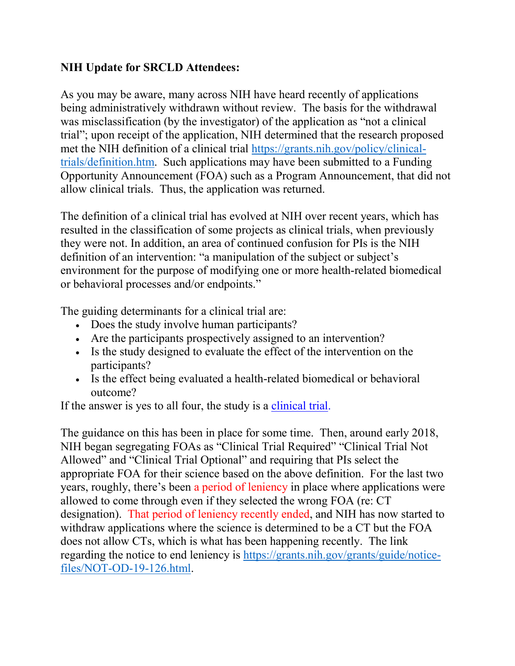## **NIH Update for SRCLD Attendees:**

As you may be aware, many across NIH have heard recently of applications being administratively withdrawn without review. The basis for the withdrawal was misclassification (by the investigator) of the application as "not a clinical trial"; upon receipt of the application, NIH determined that the research proposed met the NIH definition of a clinical trial [https://grants.nih.gov/policy/clinical](https://grants.nih.gov/policy/clinical-trials/definition.htm)[trials/definition.htm.](https://grants.nih.gov/policy/clinical-trials/definition.htm) Such applications may have been submitted to a Funding Opportunity Announcement (FOA) such as a Program Announcement, that did not allow clinical trials. Thus, the application was returned.

The definition of a clinical trial has evolved at NIH over recent years, which has resulted in the classification of some projects as clinical trials, when previously they were not. In addition, an area of continued confusion for PIs is the NIH definition of an intervention: "a manipulation of the subject or subject's environment for the purpose of modifying one or more health-related biomedical or behavioral processes and/or endpoints."

The guiding determinants for a clinical trial are:

- Does the study involve human participants?
- Are the participants prospectively assigned to an intervention?
- Is the study designed to evaluate the effect of the intervention on the participants?
- Is the effect being evaluated a health-related biomedical or behavioral outcome?

If the answer is yes to all four, the study is a [clinical trial.](https://urldefense.com/v3/__https:/grants.nih.gov/policy/clinical-trials/definition.htm__;!!CEjAKCqGPSl6!_N0b2ifYmQsVxDZMkN1fo1cpu2cXPwEGY2UIytf9vwBlhlX0hRbrRMstFDCLAWmB5fLfOcS6$)

The guidance on this has been in place for some time. Then, around early 2018, NIH began segregating FOAs as "Clinical Trial Required" "Clinical Trial Not Allowed" and "Clinical Trial Optional" and requiring that PIs select the appropriate FOA for their science based on the above definition. For the last two years, roughly, there's been a period of leniency in place where applications were allowed to come through even if they selected the wrong FOA (re: CT designation). That period of leniency recently ended, and NIH has now started to withdraw applications where the science is determined to be a CT but the FOA does not allow CTs, which is what has been happening recently. The link regarding the notice to end leniency is [https://grants.nih.gov/grants/guide/notice](https://grants.nih.gov/grants/guide/notice-files/NOT-OD-19-126.html)[files/NOT-OD-19-126.html.](https://grants.nih.gov/grants/guide/notice-files/NOT-OD-19-126.html)